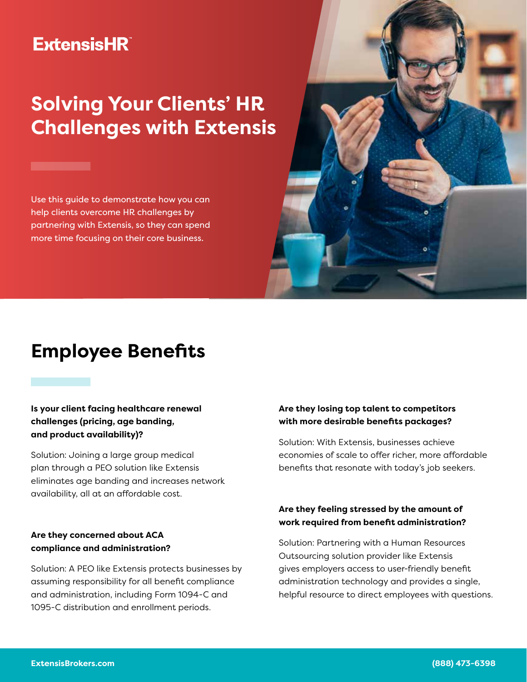### **ExtensisHR**

# **Solving Your Clients' HR Challenges with Extensis**

Use this guide to demonstrate how you can help clients overcome HR challenges by partnering with Extensis, so they can spend more time focusing on their core business.



#### **Is your client facing healthcare renewal challenges (pricing, age banding, and product availability)?**

Solution: Joining a large group medical plan through a PEO solution like Extensis eliminates age banding and increases network availability, all at an affordable cost.

#### **Are they concerned about ACA compliance and administration?**

Solution: A PEO like Extensis protects businesses by assuming responsibility for all benefit compliance and administration, including Form 1094-C and 1095-C distribution and enrollment periods.

#### **Are they losing top talent to competitors with more desirable benefits packages?**

Solution: With Extensis, businesses achieve economies of scale to offer richer, more affordable benefits that resonate with today's job seekers.

#### **Are they feeling stressed by the amount of work required from benefit administration?**

Solution: Partnering with a Human Resources Outsourcing solution provider like Extensis gives employers access to user-friendly benefit administration technology and provides a single, helpful resource to direct employees with questions.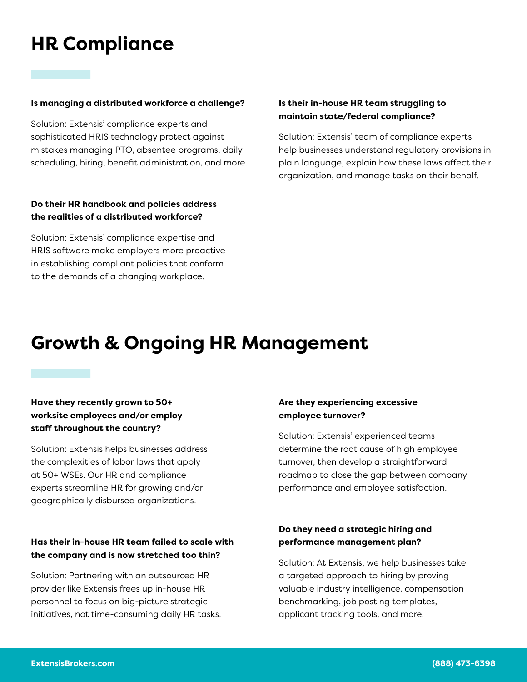# **HR Compliance**

#### **Is managing a distributed workforce a challenge?**

Solution: Extensis' compliance experts and sophisticated HRIS technology protect against mistakes managing PTO, absentee programs, daily scheduling, hiring, benefit administration, and more.

#### **Do their HR handbook and policies address the realities of a distributed workforce?**

Solution: Extensis' compliance expertise and HRIS software make employers more proactive in establishing compliant policies that conform to the demands of a changing workplace.

#### **Is their in-house HR team struggling to maintain state/federal compliance?**

Solution: Extensis' team of compliance experts help businesses understand regulatory provisions in plain language, explain how these laws affect their organization, and manage tasks on their behalf.

## **Growth & Ongoing HR Management**

#### **Have they recently grown to 50+ worksite employees and/or employ staff throughout the country?**

Solution: Extensis helps businesses address the complexities of labor laws that apply at 50+ WSEs. Our HR and compliance experts streamline HR for growing and/or geographically disbursed organizations.

#### **Has their in-house HR team failed to scale with the company and is now stretched too thin?**

Solution: Partnering with an outsourced HR provider like Extensis frees up in-house HR personnel to focus on big-picture strategic initiatives, not time-consuming daily HR tasks.

#### **Are they experiencing excessive employee turnover?**

Solution: Extensis' experienced teams determine the root cause of high employee turnover, then develop a straightforward roadmap to close the gap between company performance and employee satisfaction.

#### **Do they need a strategic hiring and performance management plan?**

Solution: At Extensis, we help businesses take a targeted approach to hiring by proving valuable industry intelligence, compensation benchmarking, job posting templates, applicant tracking tools, and more.